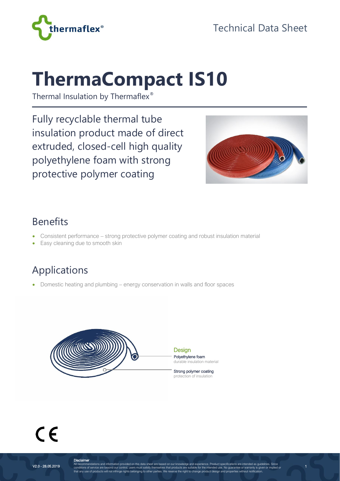

# **ThermaCompact IS10**

Thermal Insulation by Thermaflex®

Fully recyclable thermal tube insulation product made of direct extruded, closed-cell high quality polyethylene foam with strong protective polymer coating



1

#### Benefits

- Consistent performance strong protective polymer coating and robust insulation material
- Easy cleaning due to smooth skin

## Applications

• Domestic heating and plumbing – energy conservation in walls and floor spaces



**Design** Polyethylene foam durable insulation material

Strong polymer coating protection of insulation



**Disclaimer**